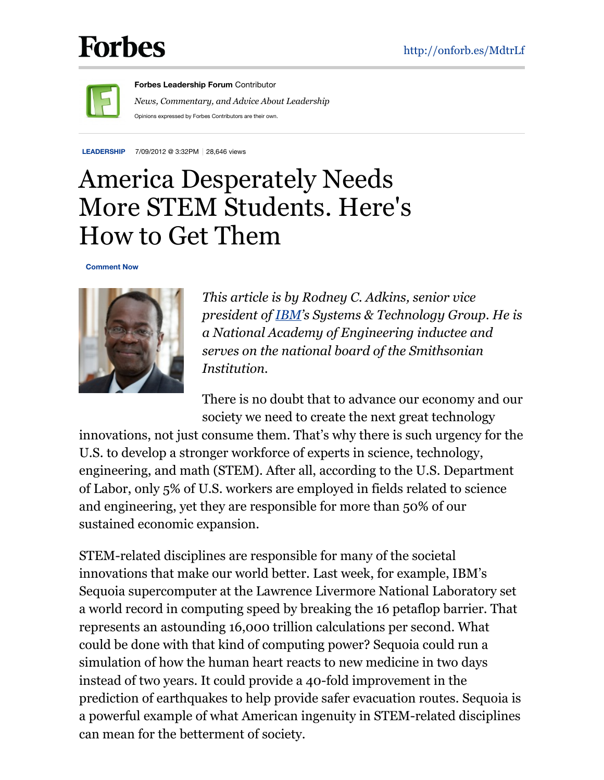## **Forbes**



**Forbes [Leadership](http://www.forbes.com/sites/forbesleadershipforum/) Forum** Contributor *News, Commentary, and Advice About Leadership* Opinions expressed by Forbes Contributors are their own.

**[LEADERSHIP](http://www.forbes.com/leadership)** 7/09/2012 @ 3:32PM 28,646 views

## America Desperately Needs More STEM Students. Here's How to Get Them

**Comment Now**



*This article is by Rodney C. Adkins, senior vice president of [IBM](http://www.forbes.com/companies/ibm/)'s Systems & Technology Group. He is a National Academy of Engineering inductee and serves on the national board of the Smithsonian Institution.*

There is no doubt that to advance our economy and our society we need to create the next great technology

innovations, not just consume them. That's why there is such urgency for the U.S. to develop a stronger workforce of experts in science, technology, engineering, and math (STEM). After all, according to the U.S. Department of Labor, only 5% of U.S. workers are employed in fields related to science and engineering, yet they are responsible for more than 50% of our sustained economic expansion.

STEM-related disciplines are responsible for many of the societal innovations that make our world better. Last week, for example, IBM's Sequoia supercomputer at the Lawrence Livermore National Laboratory set a world record in computing speed by breaking the 16 petaflop barrier. That represents an astounding 16,000 trillion calculations per second. What could be done with that kind of computing power? Sequoia could run a simulation of how the human heart reacts to new medicine in two days instead of two years. It could provide a 40-fold improvement in the prediction of earthquakes to help provide safer evacuation routes. Sequoia is a powerful example of what American ingenuity in STEM-related disciplines can mean for the betterment of society.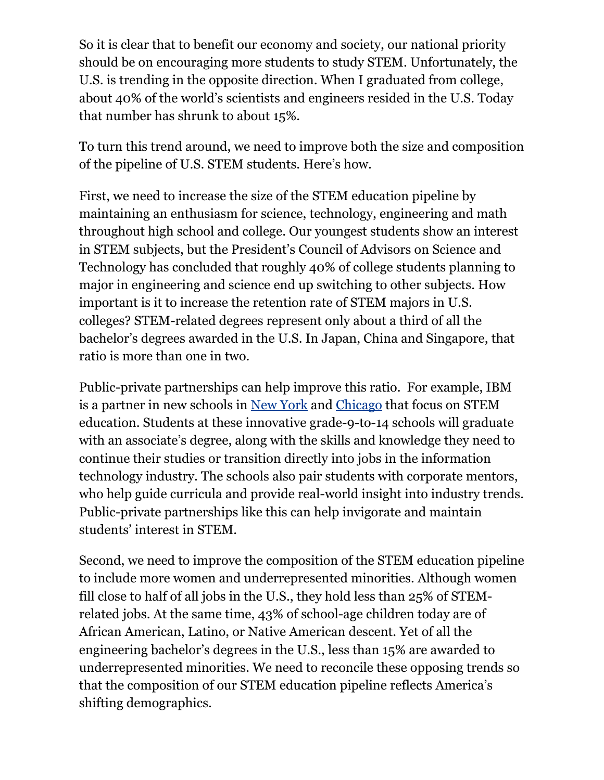So it is clear that to benefit our economy and society, our national priority should be on encouraging more students to study STEM. Unfortunately, the U.S. is trending in the opposite direction. When I graduated from college, about 40% of the world's scientists and engineers resided in the U.S. Today that number has shrunk to about 15%.

To turn this trend around, we need to improve both the size and composition of the pipeline of U.S. STEM students. Here's how.

First, we need to increase the size of the STEM education pipeline by maintaining an enthusiasm for science, technology, engineering and math throughout high school and college. Our youngest students show an interest in STEM subjects, but the President's Council of Advisors on Science and Technology has concluded that roughly 40% of college students planning to major in engineering and science end up switching to other subjects. How important is it to increase the retention rate of STEM majors in U.S. colleges? STEM-related degrees represent only about a third of all the bachelor's degrees awarded in the U.S. In Japan, China and Singapore, that ratio is more than one in two.

Public-private partnerships can help improve this ratio. For example, IBM is a partner in new schools in New [York](http://www.forbes.com/places/ny/new-york/) and [Chicago](http://www.forbes.com/places/il/chicago/) that focus on STEM education. Students at these innovative grade-9-to-14 schools will graduate with an associate's degree, along with the skills and knowledge they need to continue their studies or transition directly into jobs in the information technology industry. The schools also pair students with corporate mentors, who help guide curricula and provide real-world insight into industry trends. Public-private partnerships like this can help invigorate and maintain students' interest in STEM.

Second, we need to improve the composition of the STEM education pipeline to include more women and underrepresented minorities. Although women fill close to half of all jobs in the U.S., they hold less than 25% of STEMrelated jobs. At the same time, 43% of school-age children today are of African American, Latino, or Native American descent. Yet of all the engineering bachelor's degrees in the U.S., less than 15% are awarded to underrepresented minorities. We need to reconcile these opposing trends so that the composition of our STEM education pipeline reflects America's shifting demographics.